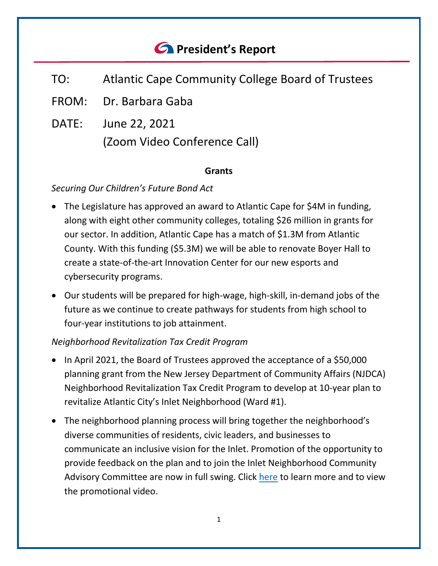# *<u>C* President's Report</u>

- TO: Atlantic Cape Community College Board of Trustees
- FROM: Dr. Barbara Gaba
- DATE: June 22, 2021 (Zoom Video Conference Call)

#### **Grants**

### *Securing Our Children's Future Bond Act*

- The Legislature has approved an award to Atlantic Cape for \$4M in funding, along with eight other community colleges, totaling \$26 million in grants for our sector. In addition, Atlantic Cape has a match of \$1.3M from Atlantic County. With this funding (\$5.3M) we will be able to renovate Boyer Hall to create a state-of-the-art Innovation Center for our new esports and cybersecurity programs.
- Our students will be prepared for high-wage, high-skill, in-demand jobs of the future as we continue to create pathways for students from high school to four-year institutions to job attainment.

### *Neighborhood Revitalization Tax Credit Program*

- In April 2021, the Board of Trustees approved the acceptance of a \$50,000 planning grant from the New Jersey Department of Community Affairs (NJDCA) Neighborhood Revitalization Tax Credit Program to develop at 10-year plan to revitalize Atlantic City's Inlet Neighborhood (Ward #1).
- The neighborhood planning process will bring together the neighborhood's diverse communities of residents, civic leaders, and businesses to communicate an inclusive vision for the Inlet. Promotion of the opportunity to provide feedback on the plan and to join the Inlet Neighborhood Community Advisory Committee are now in full swing. Click [here](http://www.atlantic.edu/inlet/) to learn more and to view the promotional video.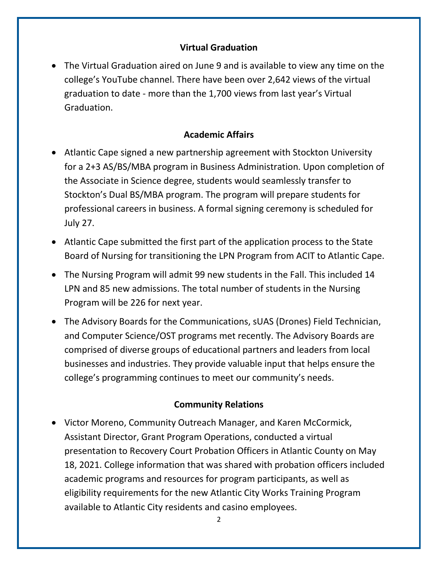### **Virtual Graduation**

• The Virtual Graduation aired on June 9 and is available to view any time on the college's YouTube channel. There have been over 2,642 views of the virtual graduation to date - more than the 1,700 views from last year's Virtual Graduation.

### **Academic Affairs**

- Atlantic Cape signed a new partnership agreement with Stockton University for a 2+3 AS/BS/MBA program in Business Administration. Upon completion of the Associate in Science degree, students would seamlessly transfer to Stockton's Dual BS/MBA program. The program will prepare students for professional careers in business. A formal signing ceremony is scheduled for July 27.
- Atlantic Cape submitted the first part of the application process to the State Board of Nursing for transitioning the LPN Program from ACIT to Atlantic Cape.
- The Nursing Program will admit 99 new students in the Fall. This included 14 LPN and 85 new admissions. The total number of students in the Nursing Program will be 226 for next year.
- The Advisory Boards for the Communications, sUAS (Drones) Field Technician, and Computer Science/OST programs met recently. The Advisory Boards are comprised of diverse groups of educational partners and leaders from local businesses and industries. They provide valuable input that helps ensure the college's programming continues to meet our community's needs.

### **Community Relations**

• Victor Moreno, Community Outreach Manager, and Karen McCormick, Assistant Director, Grant Program Operations, conducted a virtual presentation to Recovery Court Probation Officers in Atlantic County on May 18, 2021. College information that was shared with probation officers included academic programs and resources for program participants, as well as eligibility requirements for the new Atlantic City Works Training Program available to Atlantic City residents and casino employees.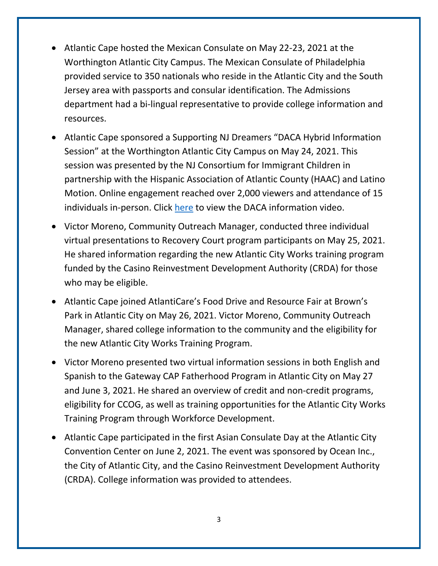- Atlantic Cape hosted the Mexican Consulate on May 22-23, 2021 at the Worthington Atlantic City Campus. The Mexican Consulate of Philadelphia provided service to 350 nationals who reside in the Atlantic City and the South Jersey area with passports and consular identification. The Admissions department had a bi-lingual representative to provide college information and resources.
- Atlantic Cape sponsored a Supporting NJ Dreamers "DACA Hybrid Information Session" at the Worthington Atlantic City Campus on May 24, 2021. This session was presented by the NJ Consortium for Immigrant Children in partnership with the Hispanic Association of Atlantic County (HAAC) and Latino Motion. Online engagement reached over 2,000 viewers and attendance of 15 individuals in-person. Click [here](https://www.facebook.com/HAACNJ/videos/189929609560461) to view the DACA information video.
- Victor Moreno, Community Outreach Manager, conducted three individual virtual presentations to Recovery Court program participants on May 25, 2021. He shared information regarding the new Atlantic City Works training program funded by the Casino Reinvestment Development Authority (CRDA) for those who may be eligible.
- Atlantic Cape joined AtlantiCare's Food Drive and Resource Fair at Brown's Park in Atlantic City on May 26, 2021. Victor Moreno, Community Outreach Manager, shared college information to the community and the eligibility for the new Atlantic City Works Training Program.
- Victor Moreno presented two virtual information sessions in both English and Spanish to the Gateway CAP Fatherhood Program in Atlantic City on May 27 and June 3, 2021. He shared an overview of credit and non-credit programs, eligibility for CCOG, as well as training opportunities for the Atlantic City Works Training Program through Workforce Development.
- Atlantic Cape participated in the first Asian Consulate Day at the Atlantic City Convention Center on June 2, 2021. The event was sponsored by Ocean Inc., the City of Atlantic City, and the Casino Reinvestment Development Authority (CRDA). College information was provided to attendees.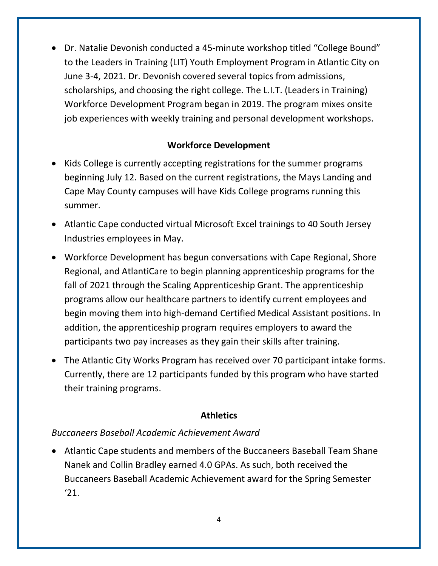• Dr. Natalie Devonish conducted a 45-minute workshop titled "College Bound" to the Leaders in Training (LIT) Youth Employment Program in Atlantic City on June 3-4, 2021. Dr. Devonish covered several topics from admissions, scholarships, and choosing the right college. The L.I.T. (Leaders in Training) Workforce Development Program began in 2019. The program mixes onsite job experiences with weekly training and personal development workshops.

### **Workforce Development**

- Kids College is currently accepting registrations for the summer programs beginning July 12. Based on the current registrations, the Mays Landing and Cape May County campuses will have Kids College programs running this summer.
- Atlantic Cape conducted virtual Microsoft Excel trainings to 40 South Jersey Industries employees in May.
- Workforce Development has begun conversations with Cape Regional, Shore Regional, and AtlantiCare to begin planning apprenticeship programs for the fall of 2021 through the Scaling Apprenticeship Grant. The apprenticeship programs allow our healthcare partners to identify current employees and begin moving them into high-demand Certified Medical Assistant positions. In addition, the apprenticeship program requires employers to award the participants two pay increases as they gain their skills after training.
- The Atlantic City Works Program has received over 70 participant intake forms. Currently, there are 12 participants funded by this program who have started their training programs.

### **Athletics**

### *Buccaneers Baseball Academic Achievement Award*

• Atlantic Cape students and members of the Buccaneers Baseball Team Shane Nanek and Collin Bradley earned 4.0 GPAs. As such, both received the Buccaneers Baseball Academic Achievement award for the Spring Semester '21.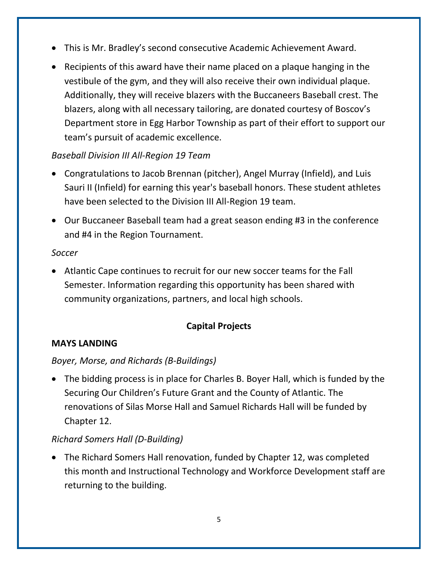- This is Mr. Bradley's second consecutive Academic Achievement Award.
- Recipients of this award have their name placed on a plaque hanging in the vestibule of the gym, and they will also receive their own individual plaque. Additionally, they will receive blazers with the Buccaneers Baseball crest. The blazers, along with all necessary tailoring, are donated courtesy of Boscov's Department store in Egg Harbor Township as part of their effort to support our team's pursuit of academic excellence.

# *Baseball Division III All-Region 19 Team*

- Congratulations to Jacob Brennan (pitcher), Angel Murray (Infield), and Luis Sauri II (Infield) for earning this year's baseball honors. These student athletes have been selected to the Division III All-Region 19 team.
- Our Buccaneer Baseball team had a great season ending #3 in the conference and #4 in the Region Tournament.

### *Soccer*

• Atlantic Cape continues to recruit for our new soccer teams for the Fall Semester. Information regarding this opportunity has been shared with community organizations, partners, and local high schools.

# **Capital Projects**

# **MAYS LANDING**

# *Boyer, Morse, and Richards (B-Buildings)*

• The bidding process is in place for Charles B. Boyer Hall, which is funded by the Securing Our Children's Future Grant and the County of Atlantic. The renovations of Silas Morse Hall and Samuel Richards Hall will be funded by Chapter 12.

# *Richard Somers Hall (D-Building)*

• The Richard Somers Hall renovation, funded by Chapter 12, was completed this month and Instructional Technology and Workforce Development staff are returning to the building.